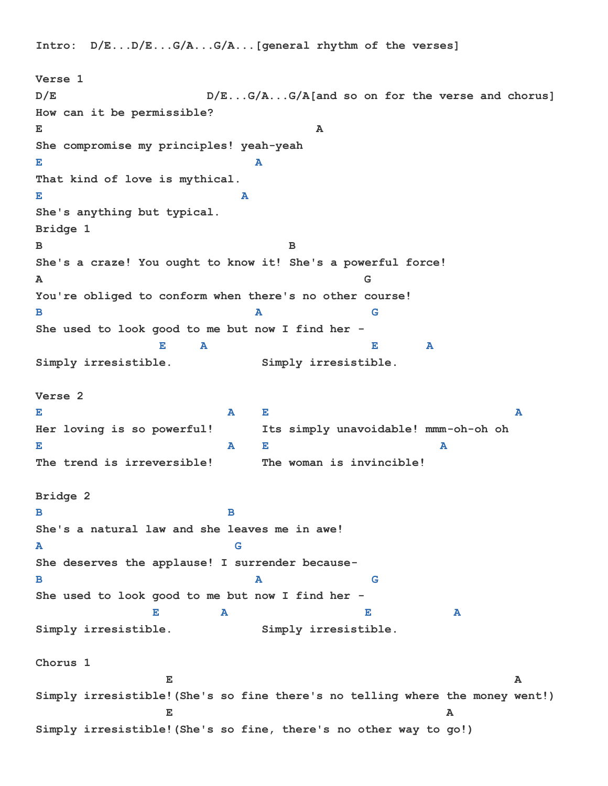**Intro: D/E...D/E...G/A...G/A...[general rhythm of the verses]**

**Verse 1 D/E D/E...G/A...G/A[and so on for the verse and chorus] How can it be permissible? E** A **She compromise my principles! yeah-yeah E** A **A That kind of love is mythical. E** A **A She's anything but typical. Bridge 1 B B She's a craze! You ought to know it! She's a powerful force! A G You're obliged to conform when there's no other course! B A** G **She used to look good to me but now I find her - E** A E A **Simply irresistible. Simply irresistible. Verse 2 E A** E **Her loving is so powerful! Its simply unavoidable! mmm-oh-oh oh E A** E **A The trend is irreversible! The woman is invincible! Bridge 2 B B She's a natural law and she leaves me in awe! A G She deserves the applause! I surrender because-B A** G **She used to look good to me but now I find her - E A E A Simply irresistible. Simply irresistible. Chorus 1 E** A **Simply irresistible!(She's so fine there's no telling where the money went!) E E E E E E E E E E Simply irresistible!(She's so fine, there's no other way to go!)**